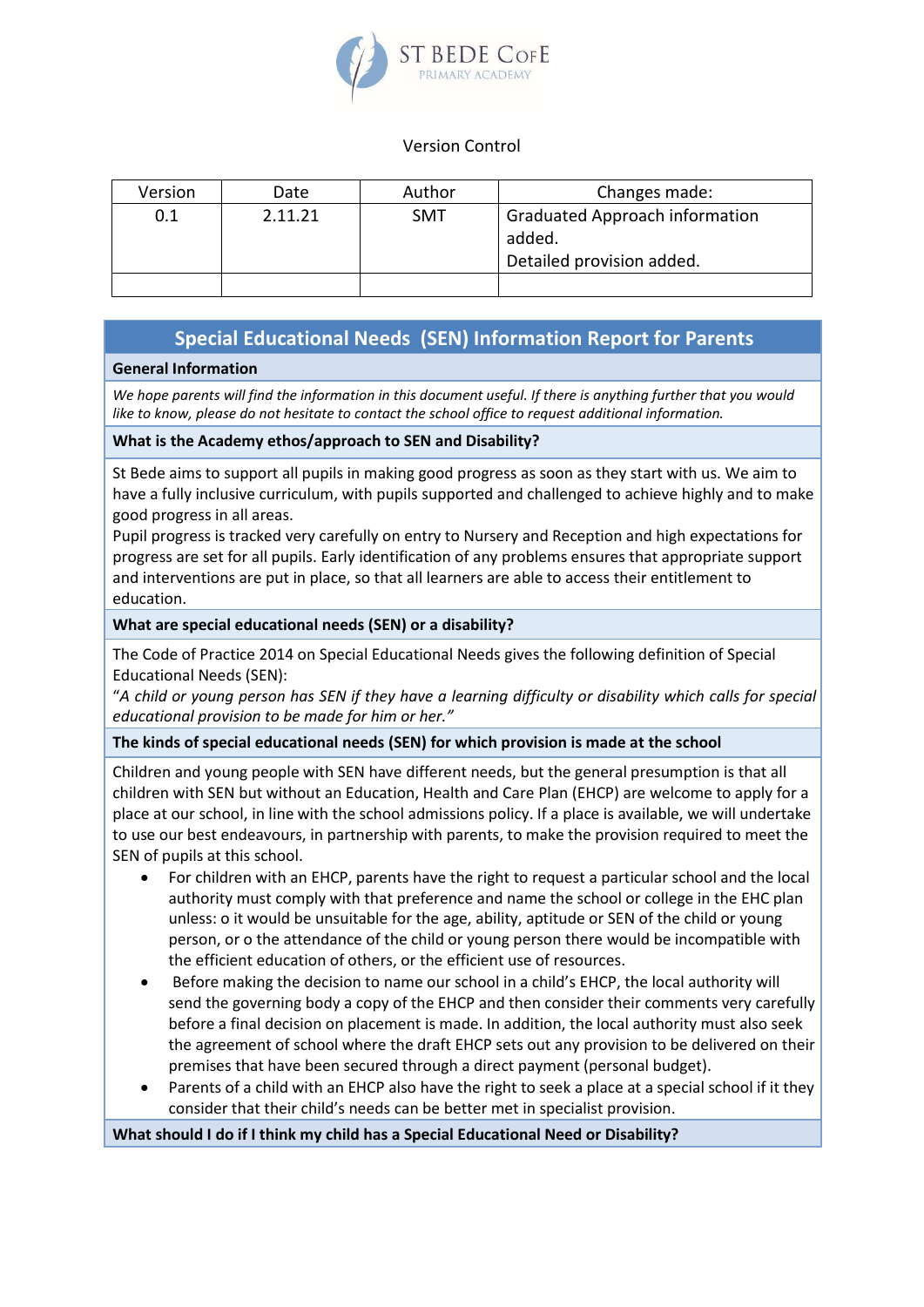

# Version Control

| Version | Date    | Author     | Changes made:                                                                |
|---------|---------|------------|------------------------------------------------------------------------------|
| 0.1     | 2.11.21 | <b>SMT</b> | <b>Graduated Approach information</b><br>added.<br>Detailed provision added. |
|         |         |            |                                                                              |

# **Special Educational Needs (SEN) Information Report for Parents**

# **General Information**

*We hope parents will find the information in this document useful. If there is anything further that you would like to know, please do not hesitate to contact the school office to request additional information.* 

# **What is the Academy ethos/approach to SEN and Disability?**

St Bede aims to support all pupils in making good progress as soon as they start with us. We aim to have a fully inclusive curriculum, with pupils supported and challenged to achieve highly and to make good progress in all areas.

Pupil progress is tracked very carefully on entry to Nursery and Reception and high expectations for progress are set for all pupils. Early identification of any problems ensures that appropriate support and interventions are put in place, so that all learners are able to access their entitlement to education.

# **What are special educational needs (SEN) or a disability?**

The Code of Practice 2014 on Special Educational Needs gives the following definition of Special Educational Needs (SEN):

"*A child or young person has SEN if they have a learning difficulty or disability which calls for special educational provision to be made for him or her."*

**The kinds of special educational needs (SEN) for which provision is made at the school**

Children and young people with SEN have different needs, but the general presumption is that all children with SEN but without an Education, Health and Care Plan (EHCP) are welcome to apply for a place at our school, in line with the school admissions policy. If a place is available, we will undertake to use our best endeavours, in partnership with parents, to make the provision required to meet the SEN of pupils at this school.

- For children with an EHCP, parents have the right to request a particular school and the local authority must comply with that preference and name the school or college in the EHC plan unless: o it would be unsuitable for the age, ability, aptitude or SEN of the child or young person, or o the attendance of the child or young person there would be incompatible with the efficient education of others, or the efficient use of resources.
- Before making the decision to name our school in a child's EHCP, the local authority will send the governing body a copy of the EHCP and then consider their comments very carefully before a final decision on placement is made. In addition, the local authority must also seek the agreement of school where the draft EHCP sets out any provision to be delivered on their premises that have been secured through a direct payment (personal budget).
- Parents of a child with an EHCP also have the right to seek a place at a special school if it they consider that their child's needs can be better met in specialist provision.

**What should I do if I think my child has a Special Educational Need or Disability?**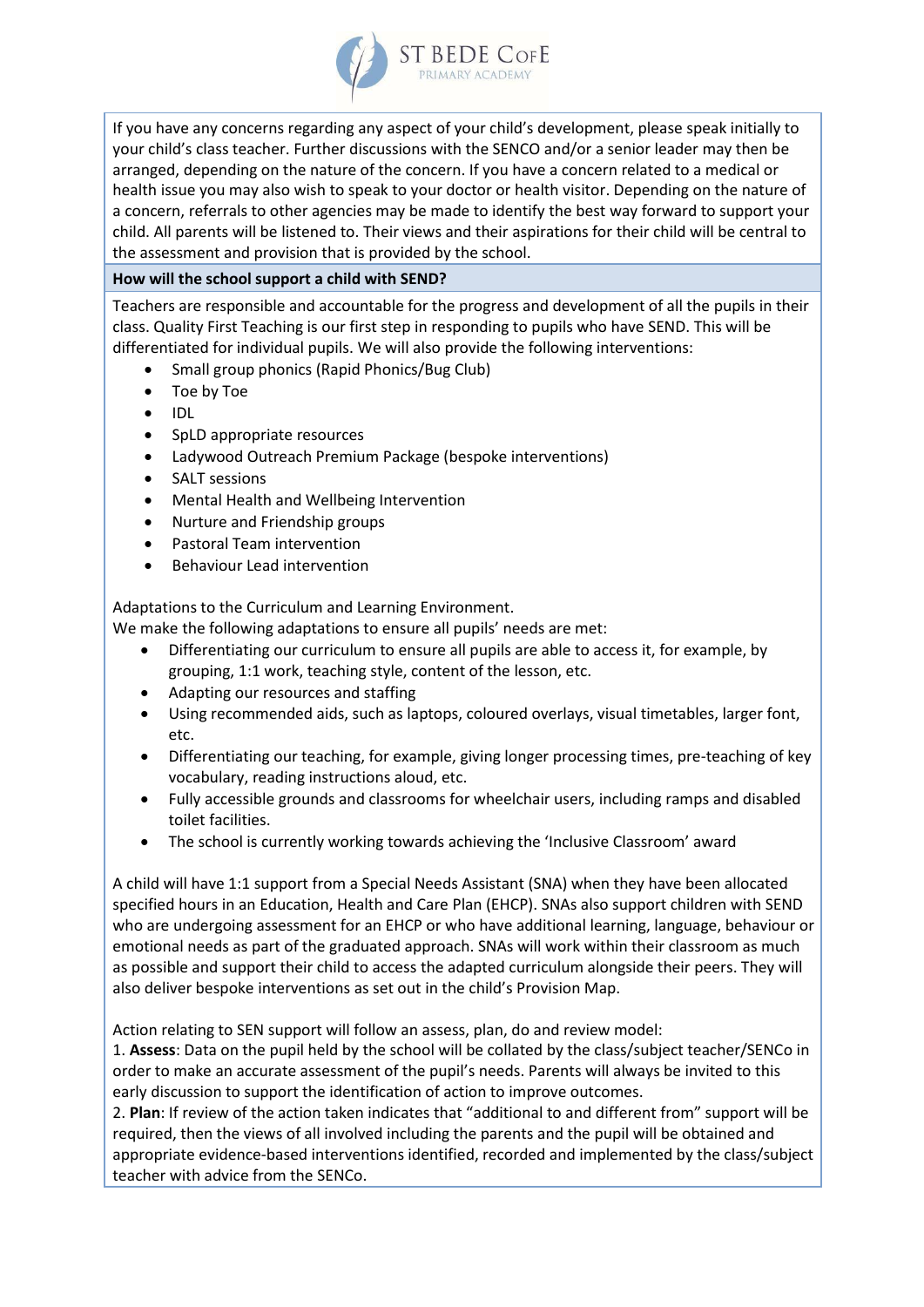

If you have any concerns regarding any aspect of your child's development, please speak initially to your child's class teacher. Further discussions with the SENCO and/or a senior leader may then be arranged, depending on the nature of the concern. If you have a concern related to a medical or health issue you may also wish to speak to your doctor or health visitor. Depending on the nature of a concern, referrals to other agencies may be made to identify the best way forward to support your child. All parents will be listened to. Their views and their aspirations for their child will be central to the assessment and provision that is provided by the school.

# **How will the school support a child with SEND?**

Teachers are responsible and accountable for the progress and development of all the pupils in their class. Quality First Teaching is our first step in responding to pupils who have SEND. This will be differentiated for individual pupils. We will also provide the following interventions:

- Small group phonics (Rapid Phonics/Bug Club)
- Toe by Toe
- $\bullet$  IDL
- SpLD appropriate resources
- Ladywood Outreach Premium Package (bespoke interventions)
- SALT sessions
- Mental Health and Wellbeing Intervention
- Nurture and Friendship groups
- Pastoral Team intervention
- Behaviour Lead intervention

Adaptations to the Curriculum and Learning Environment.

We make the following adaptations to ensure all pupils' needs are met:

- Differentiating our curriculum to ensure all pupils are able to access it, for example, by grouping, 1:1 work, teaching style, content of the lesson, etc.
- Adapting our resources and staffing
- Using recommended aids, such as laptops, coloured overlays, visual timetables, larger font, etc.
- Differentiating our teaching, for example, giving longer processing times, pre-teaching of key vocabulary, reading instructions aloud, etc.
- Fully accessible grounds and classrooms for wheelchair users, including ramps and disabled toilet facilities.
- The school is currently working towards achieving the 'Inclusive Classroom' award

A child will have 1:1 support from a Special Needs Assistant (SNA) when they have been allocated specified hours in an Education, Health and Care Plan (EHCP). SNAs also support children with SEND who are undergoing assessment for an EHCP or who have additional learning, language, behaviour or emotional needs as part of the graduated approach. SNAs will work within their classroom as much as possible and support their child to access the adapted curriculum alongside their peers. They will also deliver bespoke interventions as set out in the child's Provision Map.

Action relating to SEN support will follow an assess, plan, do and review model:

1. **Assess**: Data on the pupil held by the school will be collated by the class/subject teacher/SENCo in order to make an accurate assessment of the pupil's needs. Parents will always be invited to this early discussion to support the identification of action to improve outcomes.

2. **Plan**: If review of the action taken indicates that "additional to and different from" support will be required, then the views of all involved including the parents and the pupil will be obtained and appropriate evidence-based interventions identified, recorded and implemented by the class/subject teacher with advice from the SENCo.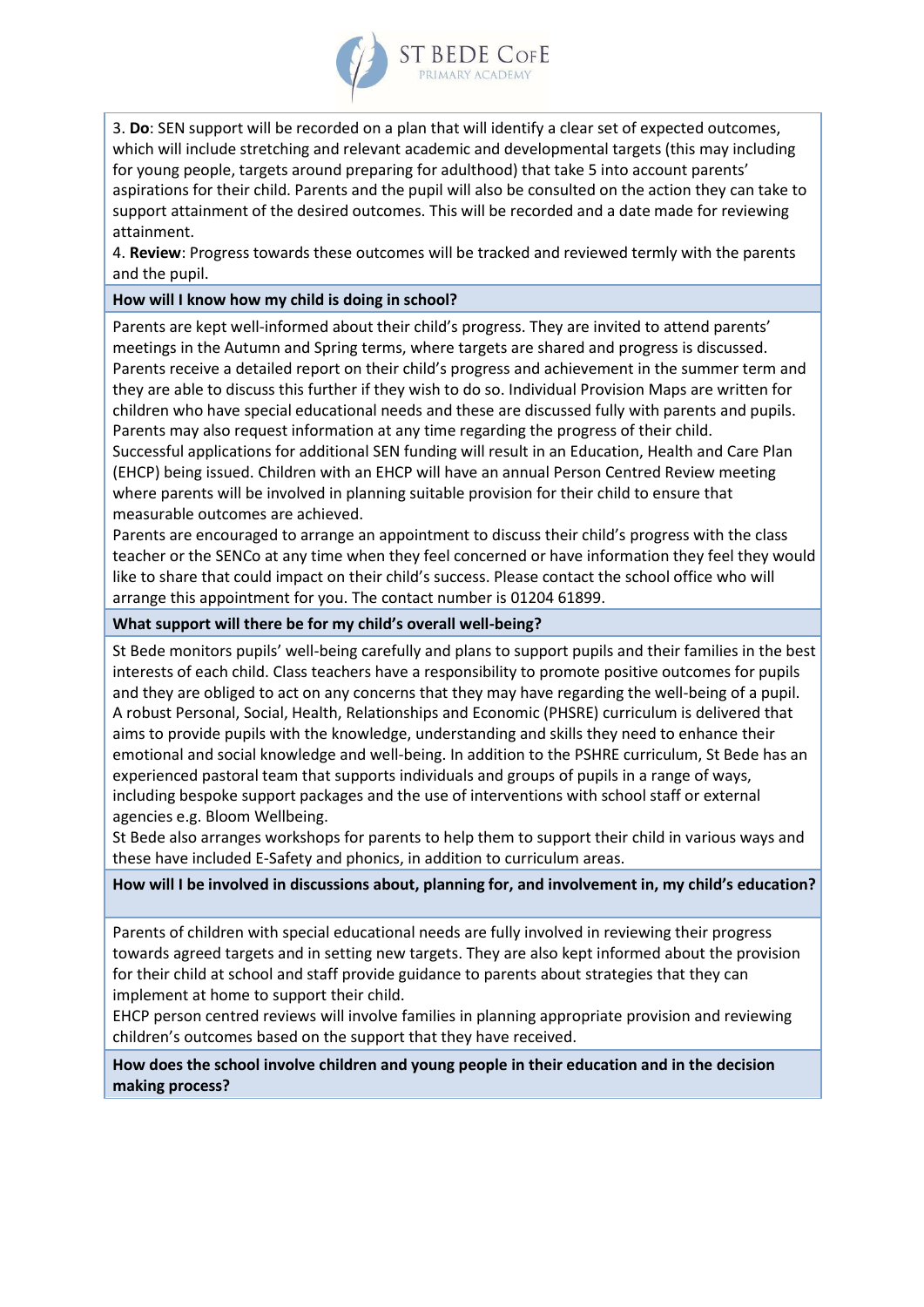

3. **Do**: SEN support will be recorded on a plan that will identify a clear set of expected outcomes, which will include stretching and relevant academic and developmental targets (this may including for young people, targets around preparing for adulthood) that take 5 into account parents' aspirations for their child. Parents and the pupil will also be consulted on the action they can take to support attainment of the desired outcomes. This will be recorded and a date made for reviewing attainment.

4. **Review**: Progress towards these outcomes will be tracked and reviewed termly with the parents and the pupil.

#### **How will I know how my child is doing in school?**

Parents are kept well-informed about their child's progress. They are invited to attend parents' meetings in the Autumn and Spring terms, where targets are shared and progress is discussed. Parents receive a detailed report on their child's progress and achievement in the summer term and they are able to discuss this further if they wish to do so. Individual Provision Maps are written for children who have special educational needs and these are discussed fully with parents and pupils. Parents may also request information at any time regarding the progress of their child.

Successful applications for additional SEN funding will result in an Education, Health and Care Plan (EHCP) being issued. Children with an EHCP will have an annual Person Centred Review meeting where parents will be involved in planning suitable provision for their child to ensure that measurable outcomes are achieved.

Parents are encouraged to arrange an appointment to discuss their child's progress with the class teacher or the SENCo at any time when they feel concerned or have information they feel they would like to share that could impact on their child's success. Please contact the school office who will arrange this appointment for you. The contact number is 01204 61899.

**What support will there be for my child's overall well-being?** 

St Bede monitors pupils' well-being carefully and plans to support pupils and their families in the best interests of each child. Class teachers have a responsibility to promote positive outcomes for pupils and they are obliged to act on any concerns that they may have regarding the well-being of a pupil. A robust Personal, Social, Health, Relationships and Economic (PHSRE) curriculum is delivered that aims to provide pupils with the knowledge, understanding and skills they need to enhance their emotional and social knowledge and well-being. In addition to the PSHRE curriculum, St Bede has an experienced pastoral team that supports individuals and groups of pupils in a range of ways, including bespoke support packages and the use of interventions with school staff or external agencies e.g. Bloom Wellbeing.

St Bede also arranges workshops for parents to help them to support their child in various ways and these have included E-Safety and phonics, in addition to curriculum areas.

**How will I be involved in discussions about, planning for, and involvement in, my child's education?** 

Parents of children with special educational needs are fully involved in reviewing their progress towards agreed targets and in setting new targets. They are also kept informed about the provision for their child at school and staff provide guidance to parents about strategies that they can implement at home to support their child.

EHCP person centred reviews will involve families in planning appropriate provision and reviewing children's outcomes based on the support that they have received.

**How does the school involve children and young people in their education and in the decision making process?**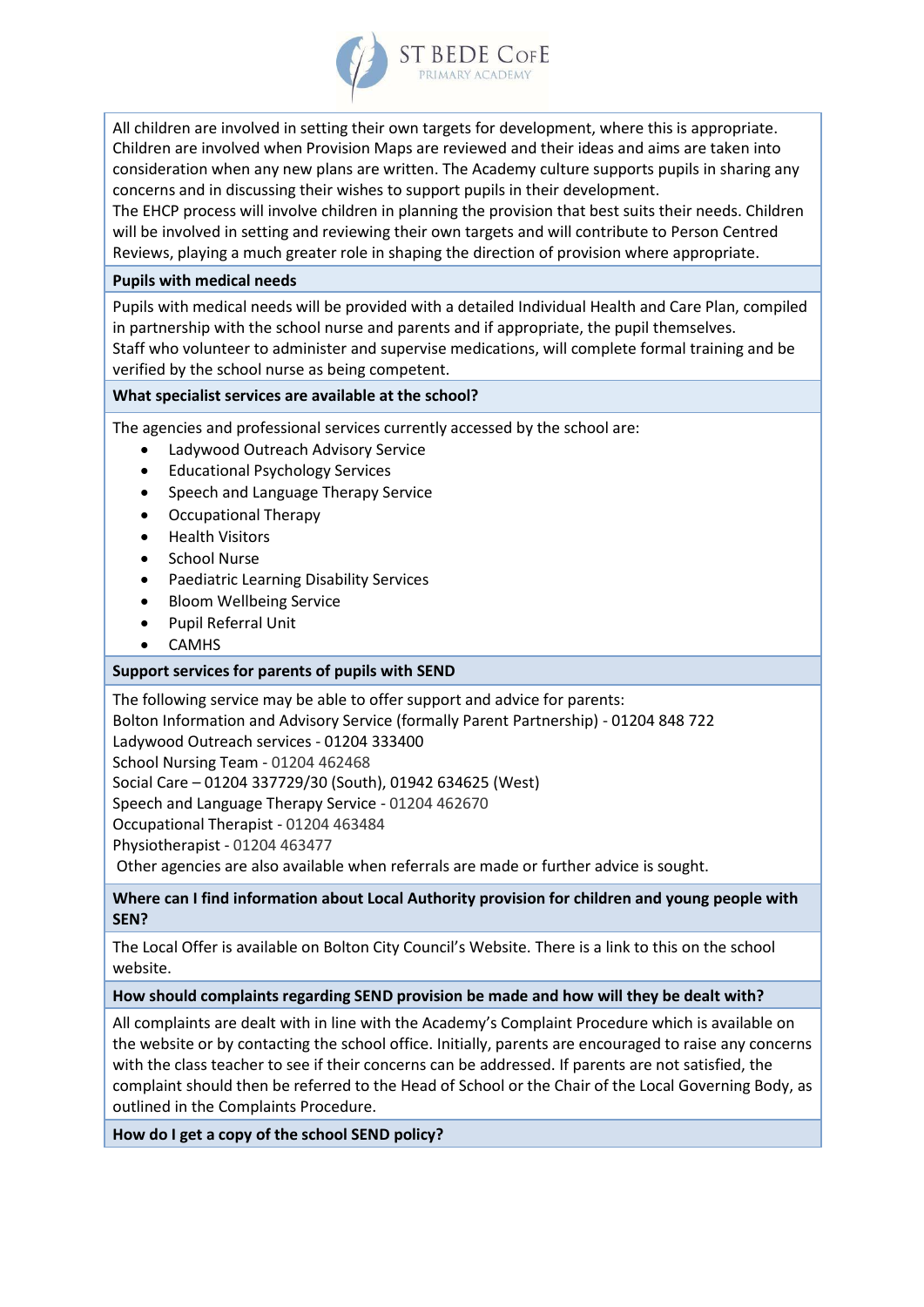

All children are involved in setting their own targets for development, where this is appropriate. Children are involved when Provision Maps are reviewed and their ideas and aims are taken into consideration when any new plans are written. The Academy culture supports pupils in sharing any concerns and in discussing their wishes to support pupils in their development.

The EHCP process will involve children in planning the provision that best suits their needs. Children will be involved in setting and reviewing their own targets and will contribute to Person Centred Reviews, playing a much greater role in shaping the direction of provision where appropriate.

#### **Pupils with medical needs**

Pupils with medical needs will be provided with a detailed Individual Health and Care Plan, compiled in partnership with the school nurse and parents and if appropriate, the pupil themselves. Staff who volunteer to administer and supervise medications, will complete formal training and be verified by the school nurse as being competent.

# **What specialist services are available at the school?**

The agencies and professional services currently accessed by the school are:

- Ladywood Outreach Advisory Service
- Educational Psychology Services
- Speech and Language Therapy Service
- Occupational Therapy
- Health Visitors
- **•** School Nurse
- Paediatric Learning Disability Services
- Bloom Wellbeing Service
- Pupil Referral Unit
- CAMHS

#### **Support services for parents of pupils with SEND**

The following service may be able to offer support and advice for parents:

Bolton Information and Advisory Service (formally Parent Partnership) - 01204 848 722

Ladywood Outreach services - 01204 333400

School Nursing Team - 01204 462468

Social Care – 01204 337729/30 (South), 01942 634625 (West)

Speech and Language Therapy Service - 01204 462670

Occupational Therapist - 01204 463484

Physiotherapist - 01204 463477

Other agencies are also available when referrals are made or further advice is sought.

# **Where can I find information about Local Authority provision for children and young people with SEN?**

The Local Offer is available on Bolton City Council's Website. There is a link to this on the school website.

#### **How should complaints regarding SEND provision be made and how will they be dealt with?**

All complaints are dealt with in line with the Academy's Complaint Procedure which is available on the website or by contacting the school office. Initially, parents are encouraged to raise any concerns with the class teacher to see if their concerns can be addressed. If parents are not satisfied, the complaint should then be referred to the Head of School or the Chair of the Local Governing Body, as outlined in the Complaints Procedure.

**How do I get a copy of the school SEND policy?**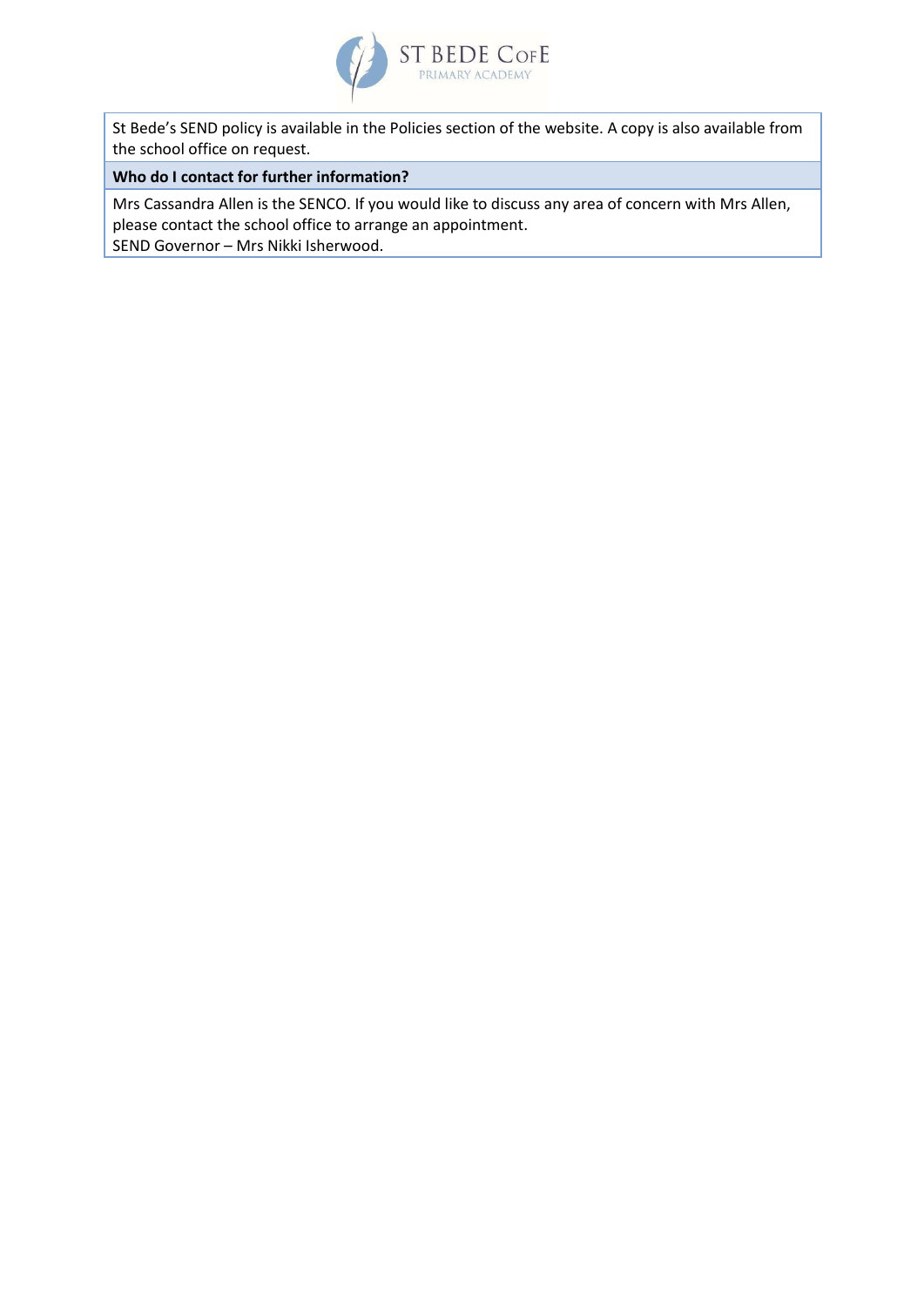

St Bede's SEND policy is available in the Policies section of the website. A copy is also available from the school office on request.

#### **Who do I contact for further information?**

Mrs Cassandra Allen is the SENCO. If you would like to discuss any area of concern with Mrs Allen, please contact the school office to arrange an appointment. SEND Governor – Mrs Nikki Isherwood.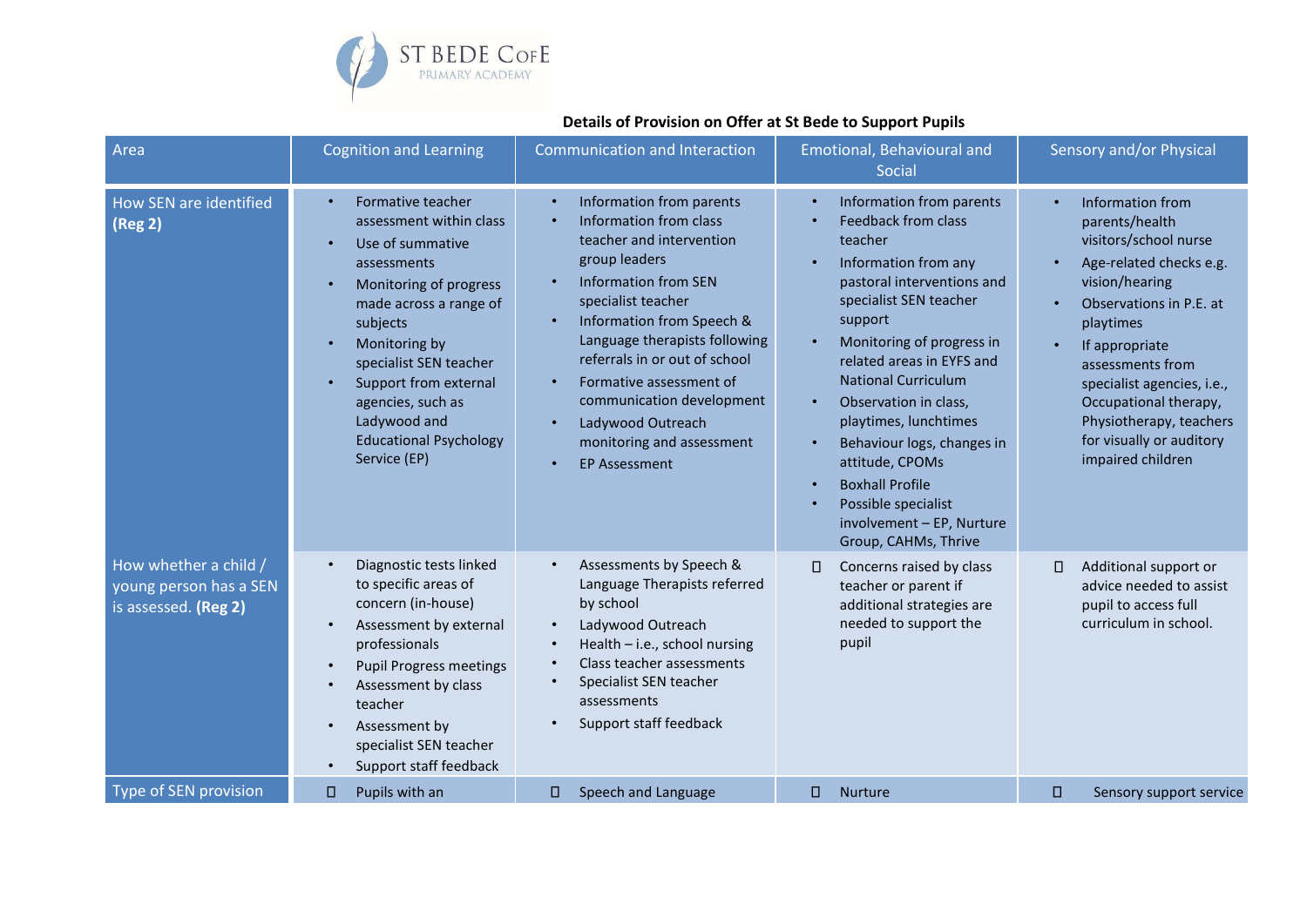

# **Details of Provision on Offer at St Bede to Support Pupils**

| Area                                                                    | <b>Cognition and Learning</b>                                                                                                                                                                                                                                                                                          | <b>Communication and Interaction</b>                                                                                                                                                                                                                                                                                                                                                               | Emotional, Behavioural and<br>Social                                                                                                                                                                                                                                                                                                                                                                                                                                                                                           | Sensory and/or Physical                                                                                                                                                                                                                                                                                                                |
|-------------------------------------------------------------------------|------------------------------------------------------------------------------------------------------------------------------------------------------------------------------------------------------------------------------------------------------------------------------------------------------------------------|----------------------------------------------------------------------------------------------------------------------------------------------------------------------------------------------------------------------------------------------------------------------------------------------------------------------------------------------------------------------------------------------------|--------------------------------------------------------------------------------------------------------------------------------------------------------------------------------------------------------------------------------------------------------------------------------------------------------------------------------------------------------------------------------------------------------------------------------------------------------------------------------------------------------------------------------|----------------------------------------------------------------------------------------------------------------------------------------------------------------------------------------------------------------------------------------------------------------------------------------------------------------------------------------|
| How SEN are identified<br>(Reg 2)                                       | Formative teacher<br>$\bullet$<br>assessment within class<br>Use of summative<br>assessments<br>Monitoring of progress<br>made across a range of<br>subjects<br>Monitoring by<br>specialist SEN teacher<br>Support from external<br>agencies, such as<br>Ladywood and<br><b>Educational Psychology</b><br>Service (EP) | Information from parents<br>$\bullet$<br>Information from class<br>teacher and intervention<br>group leaders<br><b>Information from SEN</b><br>specialist teacher<br>Information from Speech &<br>Language therapists following<br>referrals in or out of school<br>Formative assessment of<br>communication development<br>Ladywood Outreach<br>monitoring and assessment<br><b>EP Assessment</b> | Information from parents<br>$\bullet$<br><b>Feedback from class</b><br>$\bullet$<br>teacher<br>Information from any<br>pastoral interventions and<br>specialist SEN teacher<br>support<br>Monitoring of progress in<br>$\bullet$<br>related areas in EYFS and<br><b>National Curriculum</b><br>Observation in class,<br>$\bullet$<br>playtimes, lunchtimes<br>Behaviour logs, changes in<br>$\bullet$<br>attitude, CPOMs<br><b>Boxhall Profile</b><br>Possible specialist<br>involvement - EP, Nurture<br>Group, CAHMs, Thrive | Information from<br>$\bullet$<br>parents/health<br>visitors/school nurse<br>Age-related checks e.g.<br>vision/hearing<br>Observations in P.E. at<br>playtimes<br>If appropriate<br>assessments from<br>specialist agencies, i.e.,<br>Occupational therapy,<br>Physiotherapy, teachers<br>for visually or auditory<br>impaired children |
| How whether a child /<br>young person has a SEN<br>is assessed. (Reg 2) | Diagnostic tests linked<br>to specific areas of<br>concern (in-house)<br>Assessment by external<br>professionals<br><b>Pupil Progress meetings</b><br>Assessment by class<br>teacher<br>Assessment by<br>specialist SEN teacher<br>Support staff feedback<br>$\bullet$                                                 | Assessments by Speech &<br>$\bullet$<br>Language Therapists referred<br>by school<br>Ladywood Outreach<br>$\bullet$<br>Health - i.e., school nursing<br>Class teacher assessments<br>Specialist SEN teacher<br>assessments<br>Support staff feedback                                                                                                                                               | $\Box$<br>Concerns raised by class<br>teacher or parent if<br>additional strategies are<br>needed to support the<br>pupil                                                                                                                                                                                                                                                                                                                                                                                                      | Additional support or<br>$\Box$<br>advice needed to assist<br>pupil to access full<br>curriculum in school.                                                                                                                                                                                                                            |
| <b>Type of SEN provision</b>                                            | Pupils with an<br>0                                                                                                                                                                                                                                                                                                    | 0<br>Speech and Language                                                                                                                                                                                                                                                                                                                                                                           | 0<br><b>Nurture</b>                                                                                                                                                                                                                                                                                                                                                                                                                                                                                                            | о<br>Sensory support service                                                                                                                                                                                                                                                                                                           |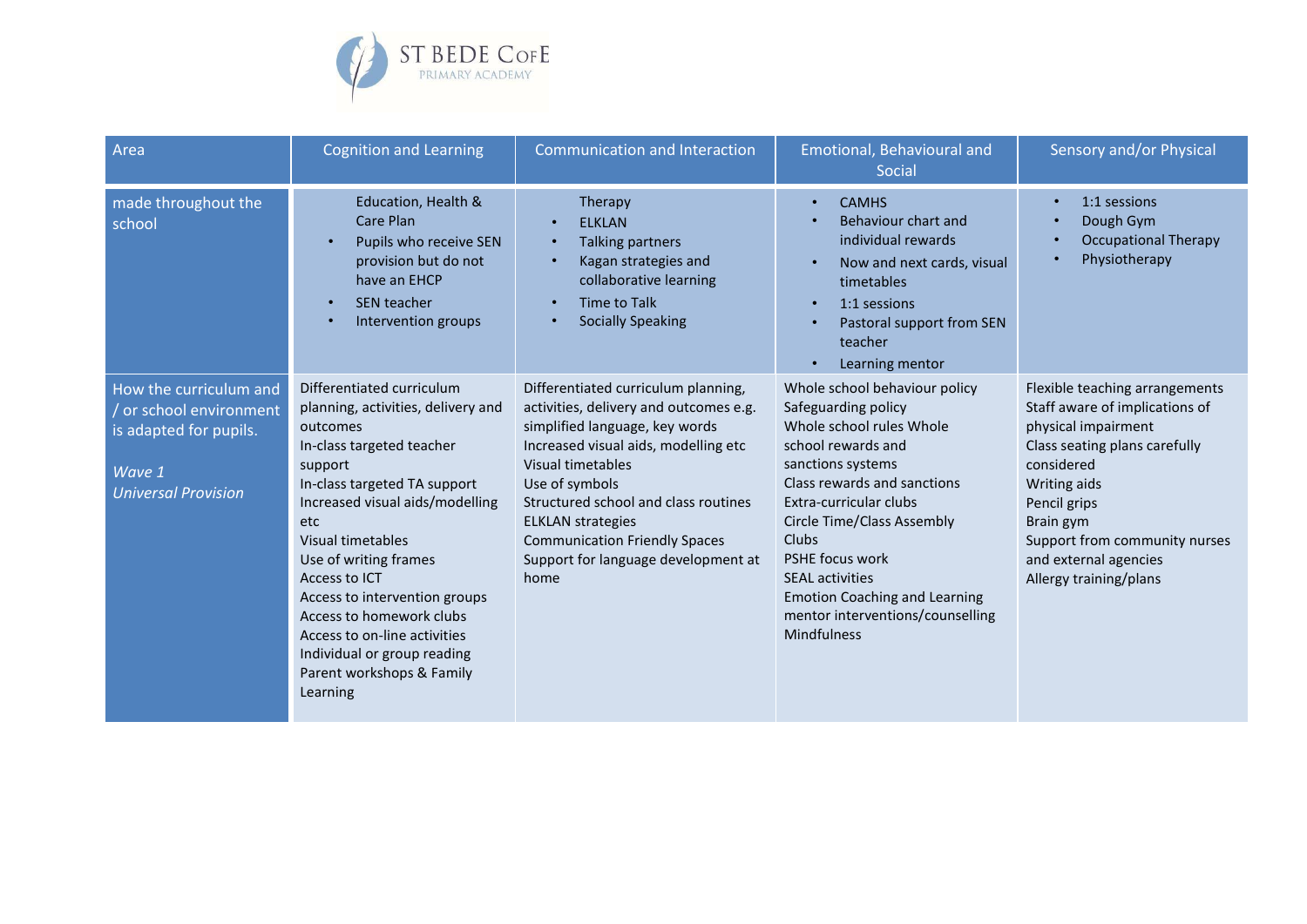

| Area                                                                                                              | <b>Cognition and Learning</b>                                                                                                                                                                                                                                                                                                                                                                                                     | <b>Communication and Interaction</b>                                                                                                                                                                                                                                                                                                                      | Emotional, Behavioural and<br>Social                                                                                                                                                                                                                                                                                                                                                     | Sensory and/or Physical                                                                                                                                                                                                                                                 |
|-------------------------------------------------------------------------------------------------------------------|-----------------------------------------------------------------------------------------------------------------------------------------------------------------------------------------------------------------------------------------------------------------------------------------------------------------------------------------------------------------------------------------------------------------------------------|-----------------------------------------------------------------------------------------------------------------------------------------------------------------------------------------------------------------------------------------------------------------------------------------------------------------------------------------------------------|------------------------------------------------------------------------------------------------------------------------------------------------------------------------------------------------------------------------------------------------------------------------------------------------------------------------------------------------------------------------------------------|-------------------------------------------------------------------------------------------------------------------------------------------------------------------------------------------------------------------------------------------------------------------------|
| made throughout the<br>school                                                                                     | Education, Health &<br>Care Plan<br>Pupils who receive SEN<br>provision but do not<br>have an EHCP<br><b>SEN teacher</b><br>Intervention groups                                                                                                                                                                                                                                                                                   | Therapy<br><b>ELKLAN</b><br><b>Talking partners</b><br>$\bullet$<br>Kagan strategies and<br>collaborative learning<br><b>Time to Talk</b><br><b>Socially Speaking</b>                                                                                                                                                                                     | <b>CAMHS</b><br>$\bullet$<br>Behaviour chart and<br>individual rewards<br>Now and next cards, visual<br>$\bullet$<br>timetables<br>1:1 sessions<br>$\bullet$<br>Pastoral support from SEN<br>teacher<br>Learning mentor<br>$\bullet$                                                                                                                                                     | 1:1 sessions<br>$\bullet$<br>Dough Gym<br><b>Occupational Therapy</b><br>Physiotherapy                                                                                                                                                                                  |
| How the curriculum and<br>or school environment<br>is adapted for pupils.<br>Wave 1<br><b>Universal Provision</b> | Differentiated curriculum<br>planning, activities, delivery and<br>outcomes<br>In-class targeted teacher<br>support<br>In-class targeted TA support<br>Increased visual aids/modelling<br>etc<br>Visual timetables<br>Use of writing frames<br>Access to ICT<br>Access to intervention groups<br>Access to homework clubs<br>Access to on-line activities<br>Individual or group reading<br>Parent workshops & Family<br>Learning | Differentiated curriculum planning,<br>activities, delivery and outcomes e.g.<br>simplified language, key words<br>Increased visual aids, modelling etc<br>Visual timetables<br>Use of symbols<br>Structured school and class routines<br><b>ELKLAN</b> strategies<br><b>Communication Friendly Spaces</b><br>Support for language development at<br>home | Whole school behaviour policy<br>Safeguarding policy<br>Whole school rules Whole<br>school rewards and<br>sanctions systems<br>Class rewards and sanctions<br>Extra-curricular clubs<br><b>Circle Time/Class Assembly</b><br><b>Clubs</b><br>PSHE focus work<br><b>SEAL activities</b><br><b>Emotion Coaching and Learning</b><br>mentor interventions/counselling<br><b>Mindfulness</b> | Flexible teaching arrangements<br>Staff aware of implications of<br>physical impairment<br>Class seating plans carefully<br>considered<br>Writing aids<br>Pencil grips<br>Brain gym<br>Support from community nurses<br>and external agencies<br>Allergy training/plans |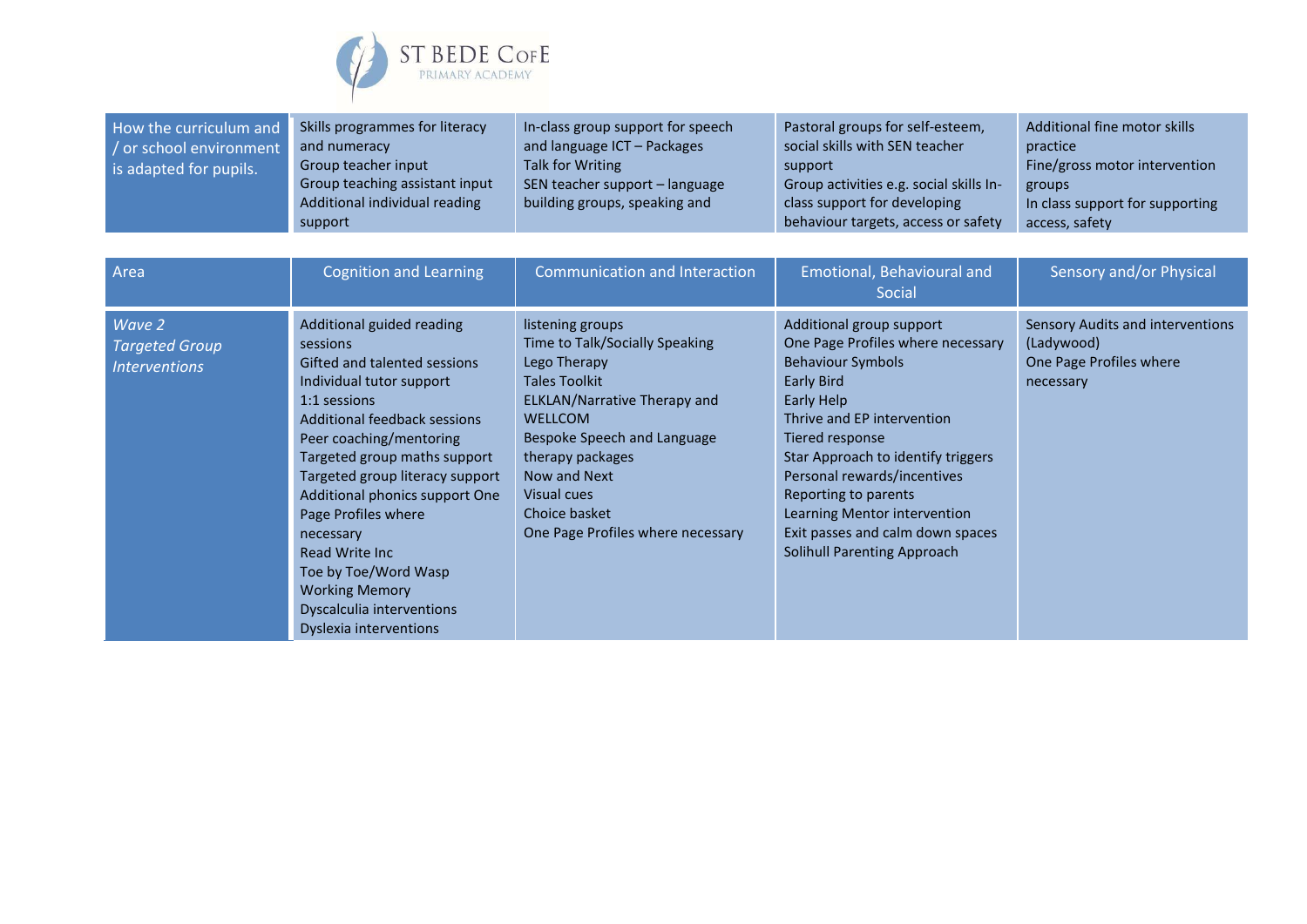

| How the curriculum and  | Skills programmes for literacy | In-class group support for speech | Pastoral groups for self-esteem,        | Additional fine motor skills    |
|-------------------------|--------------------------------|-----------------------------------|-----------------------------------------|---------------------------------|
| / or school environment | and numeracy                   | and language ICT - Packages       | social skills with SEN teacher          | practice                        |
| is adapted for pupils.  | Group teacher input            | Talk for Writing                  | support                                 | Fine/gross motor intervention   |
|                         | Group teaching assistant input | SEN teacher support - language    | Group activities e.g. social skills In- | groups                          |
|                         | Additional individual reading  | building groups, speaking and     | class support for developing            | In class support for supporting |
|                         | support                        |                                   | behaviour targets, access or safety     | access, safety                  |

| Area                                                           | <b>Cognition and Learning</b>                                                                                                                                                                                                                                                                                                                                                                                                                   | Communication and Interaction                                                                                                                                                                                                                                                        | Emotional, Behavioural and<br>Social                                                                                                                                                                                                                                                                                                                                          | Sensory and/or Physical                                                                |
|----------------------------------------------------------------|-------------------------------------------------------------------------------------------------------------------------------------------------------------------------------------------------------------------------------------------------------------------------------------------------------------------------------------------------------------------------------------------------------------------------------------------------|--------------------------------------------------------------------------------------------------------------------------------------------------------------------------------------------------------------------------------------------------------------------------------------|-------------------------------------------------------------------------------------------------------------------------------------------------------------------------------------------------------------------------------------------------------------------------------------------------------------------------------------------------------------------------------|----------------------------------------------------------------------------------------|
| Wave 2<br><b>Targeted Group</b><br><i><b>Interventions</b></i> | Additional guided reading<br>sessions<br>Gifted and talented sessions<br>Individual tutor support<br>1:1 sessions<br>Additional feedback sessions<br>Peer coaching/mentoring<br>Targeted group maths support<br>Targeted group literacy support<br>Additional phonics support One<br>Page Profiles where<br>necessary<br>Read Write Inc<br>Toe by Toe/Word Wasp<br><b>Working Memory</b><br>Dyscalculia interventions<br>Dyslexia interventions | listening groups<br>Time to Talk/Socially Speaking<br>Lego Therapy<br>Tales Toolkit<br><b>ELKLAN/Narrative Therapy and</b><br><b>WELLCOM</b><br>Bespoke Speech and Language<br>therapy packages<br>Now and Next<br>Visual cues<br>Choice basket<br>One Page Profiles where necessary | Additional group support<br>One Page Profiles where necessary<br><b>Behaviour Symbols</b><br>Early Bird<br>Early Help<br>Thrive and EP intervention<br>Tiered response<br>Star Approach to identify triggers<br>Personal rewards/incentives<br>Reporting to parents<br>Learning Mentor intervention<br>Exit passes and calm down spaces<br><b>Solihull Parenting Approach</b> | Sensory Audits and interventions<br>(Ladywood)<br>One Page Profiles where<br>necessary |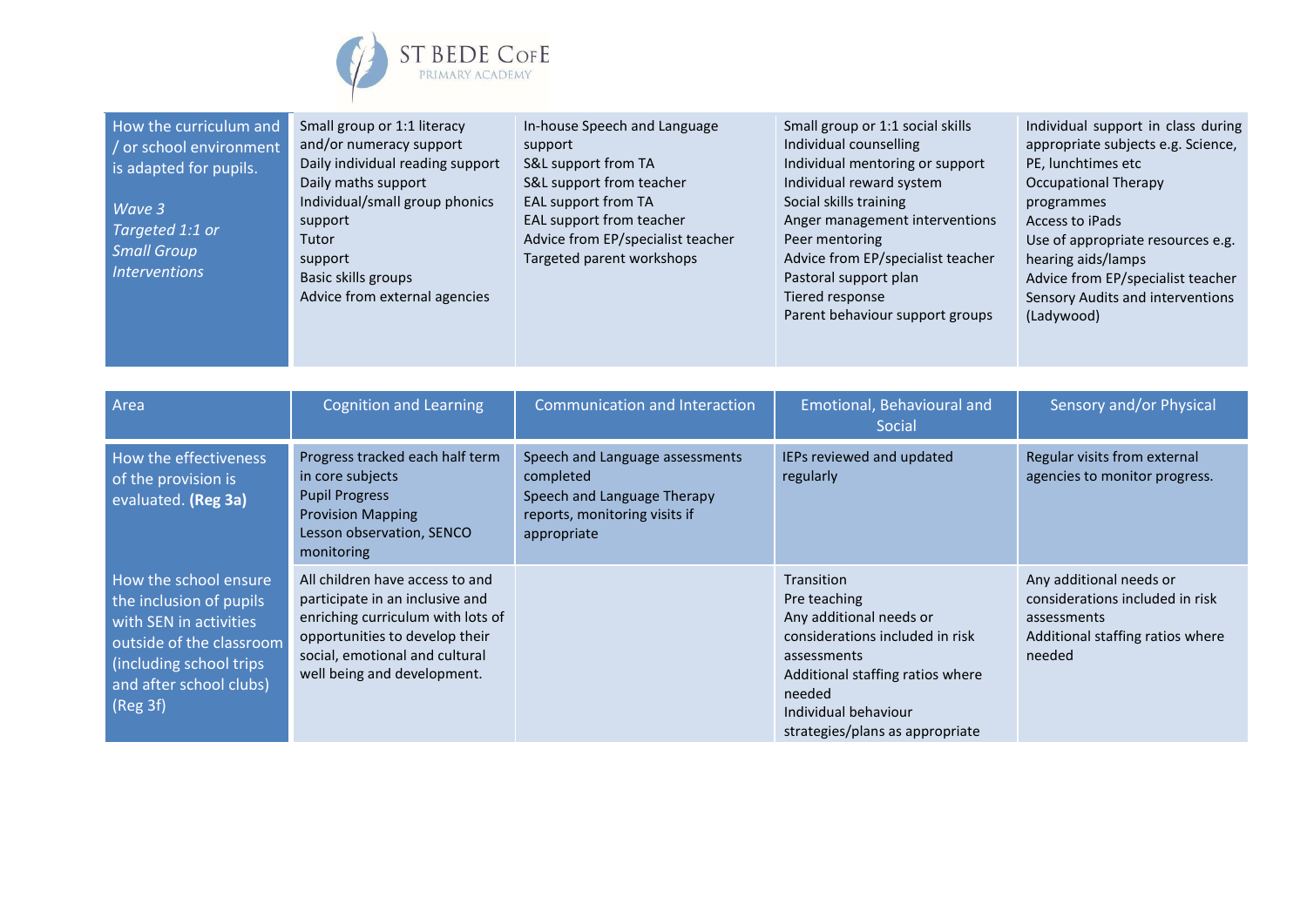

| How the curriculum and<br>/ or school environment<br>is adapted for pupils.<br>Wave 3<br>Targeted 1:1 or<br><b>Small Group</b><br><b>Interventions</b>                   | Small group or 1:1 literacy<br>and/or numeracy support<br>Daily individual reading support<br>Daily maths support<br>Individual/small group phonics<br>support<br>Tutor<br>support<br>Basic skills groups<br>Advice from external agencies | In-house Speech and Language<br>support<br>S&L support from TA<br>S&L support from teacher<br><b>EAL support from TA</b><br>EAL support from teacher<br>Advice from EP/specialist teacher<br>Targeted parent workshops | Small group or 1:1 social skills<br>Individual counselling<br>Individual mentoring or support<br>Individual reward system<br>Social skills training<br>Anger management interventions<br>Peer mentoring<br>Advice from EP/specialist teacher<br>Pastoral support plan<br>Tiered response<br>Parent behaviour support groups | Individual support in class during<br>appropriate subjects e.g. Science,<br>PE, lunchtimes etc<br><b>Occupational Therapy</b><br>programmes<br><b>Access to iPads</b><br>Use of appropriate resources e.g.<br>hearing aids/lamps<br>Advice from EP/specialist teacher<br>Sensory Audits and interventions<br>(Ladywood) |
|--------------------------------------------------------------------------------------------------------------------------------------------------------------------------|--------------------------------------------------------------------------------------------------------------------------------------------------------------------------------------------------------------------------------------------|------------------------------------------------------------------------------------------------------------------------------------------------------------------------------------------------------------------------|-----------------------------------------------------------------------------------------------------------------------------------------------------------------------------------------------------------------------------------------------------------------------------------------------------------------------------|-------------------------------------------------------------------------------------------------------------------------------------------------------------------------------------------------------------------------------------------------------------------------------------------------------------------------|
| Area                                                                                                                                                                     | <b>Cognition and Learning</b>                                                                                                                                                                                                              | <b>Communication and Interaction</b>                                                                                                                                                                                   | Emotional, Behavioural and<br>Social                                                                                                                                                                                                                                                                                        | Sensory and/or Physical                                                                                                                                                                                                                                                                                                 |
| How the effectiveness<br>of the provision is<br>evaluated. (Reg 3a)                                                                                                      | Progress tracked each half term<br>in core subjects<br><b>Pupil Progress</b><br><b>Provision Mapping</b><br>Lesson observation, SENCO<br>monitoring                                                                                        | Speech and Language assessments<br>completed<br>Speech and Language Therapy<br>reports, monitoring visits if<br>appropriate                                                                                            | IEPs reviewed and updated<br>regularly                                                                                                                                                                                                                                                                                      | Regular visits from external<br>agencies to monitor progress.                                                                                                                                                                                                                                                           |
| How the school ensure<br>the inclusion of pupils<br>with SEN in activities<br>outside of the classroom<br>(including school trips<br>and after school clubs)<br>(Reg 3f) | All children have access to and<br>participate in an inclusive and<br>enriching curriculum with lots of<br>opportunities to develop their<br>social, emotional and cultural<br>well being and development.                                 |                                                                                                                                                                                                                        | Transition<br>Pre teaching<br>Any additional needs or<br>considerations included in risk<br>assessments<br>Additional staffing ratios where<br>needed<br>Individual behaviour<br>strategies/plans as appropriate                                                                                                            | Any additional needs or<br>considerations included in risk<br>assessments<br>Additional staffing ratios where<br>needed                                                                                                                                                                                                 |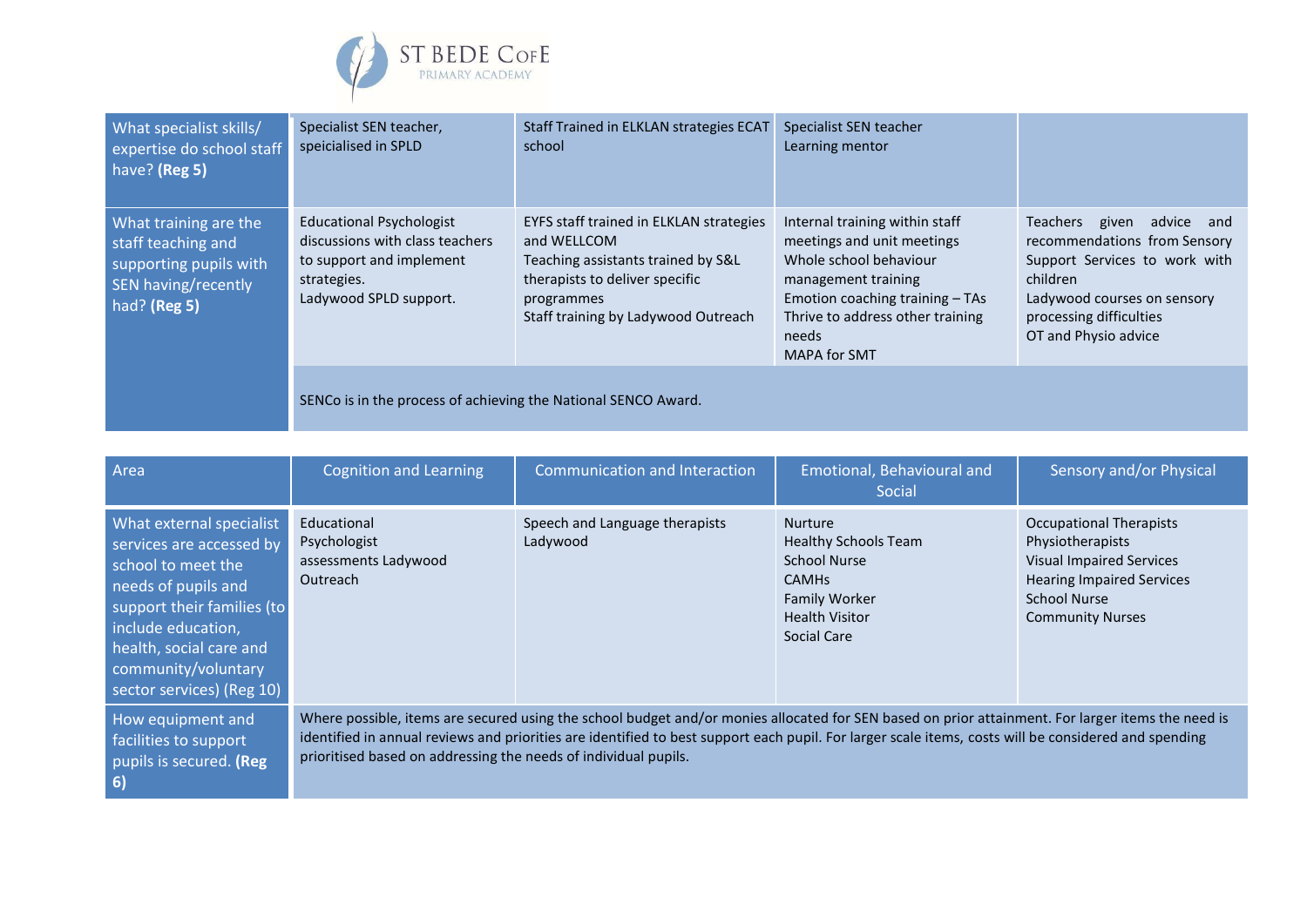

| What specialist skills/<br>expertise do school staff<br>have? (Reg 5)                                        | Specialist SEN teacher,<br>speicialised in SPLD                                                                                         | Staff Trained in ELKLAN strategies ECAT<br>school                                                                                                                                   | Specialist SEN teacher<br>Learning mentor                                                                                                                                                                     |                                                                                                                                                                                                |
|--------------------------------------------------------------------------------------------------------------|-----------------------------------------------------------------------------------------------------------------------------------------|-------------------------------------------------------------------------------------------------------------------------------------------------------------------------------------|---------------------------------------------------------------------------------------------------------------------------------------------------------------------------------------------------------------|------------------------------------------------------------------------------------------------------------------------------------------------------------------------------------------------|
| What training are the<br>staff teaching and<br>supporting pupils with<br>SEN having/recently<br>had? (Reg 5) | <b>Educational Psychologist</b><br>discussions with class teachers<br>to support and implement<br>strategies.<br>Ladywood SPLD support. | EYFS staff trained in ELKLAN strategies<br>and WELLCOM<br>Teaching assistants trained by S&L<br>therapists to deliver specific<br>programmes<br>Staff training by Ladywood Outreach | Internal training within staff<br>meetings and unit meetings<br>Whole school behaviour<br>management training<br>Emotion coaching training - TAs<br>Thrive to address other training<br>needs<br>MAPA for SMT | Teachers<br>given<br>advice and<br>recommendations from Sensory<br>Support Services to work with<br>children<br>Ladywood courses on sensory<br>processing difficulties<br>OT and Physio advice |
|                                                                                                              | SENCo is in the process of achieving the National SENCO Award.                                                                          |                                                                                                                                                                                     |                                                                                                                                                                                                               |                                                                                                                                                                                                |

| Area                                                                                                                                                                                                                                 | <b>Cognition and Learning</b>                                   | Communication and Interaction                                                                                                                                                                                                                                                                             | Emotional, Behavioural and<br>Social                                                                                                                 | Sensory and/or Physical                                                                                                                                              |
|--------------------------------------------------------------------------------------------------------------------------------------------------------------------------------------------------------------------------------------|-----------------------------------------------------------------|-----------------------------------------------------------------------------------------------------------------------------------------------------------------------------------------------------------------------------------------------------------------------------------------------------------|------------------------------------------------------------------------------------------------------------------------------------------------------|----------------------------------------------------------------------------------------------------------------------------------------------------------------------|
| What external specialist<br>services are accessed by<br>school to meet the<br>needs of pupils and<br>support their families (to<br>include education,<br>health, social care and<br>community/voluntary<br>sector services) (Reg 10) | Educational<br>Psychologist<br>assessments Ladywood<br>Outreach | Speech and Language therapists<br>Ladywood                                                                                                                                                                                                                                                                | <b>Nurture</b><br><b>Healthy Schools Team</b><br><b>School Nurse</b><br><b>CAMHS</b><br><b>Family Worker</b><br><b>Health Visitor</b><br>Social Care | Occupational Therapists<br>Physiotherapists<br><b>Visual Impaired Services</b><br><b>Hearing Impaired Services</b><br><b>School Nurse</b><br><b>Community Nurses</b> |
| How equipment and<br>facilities to support<br>pupils is secured. (Reg<br>6)                                                                                                                                                          | prioritised based on addressing the needs of individual pupils. | Where possible, items are secured using the school budget and/or monies allocated for SEN based on prior attainment. For larger items the need is<br>identified in annual reviews and priorities are identified to best support each pupil. For larger scale items, costs will be considered and spending |                                                                                                                                                      |                                                                                                                                                                      |